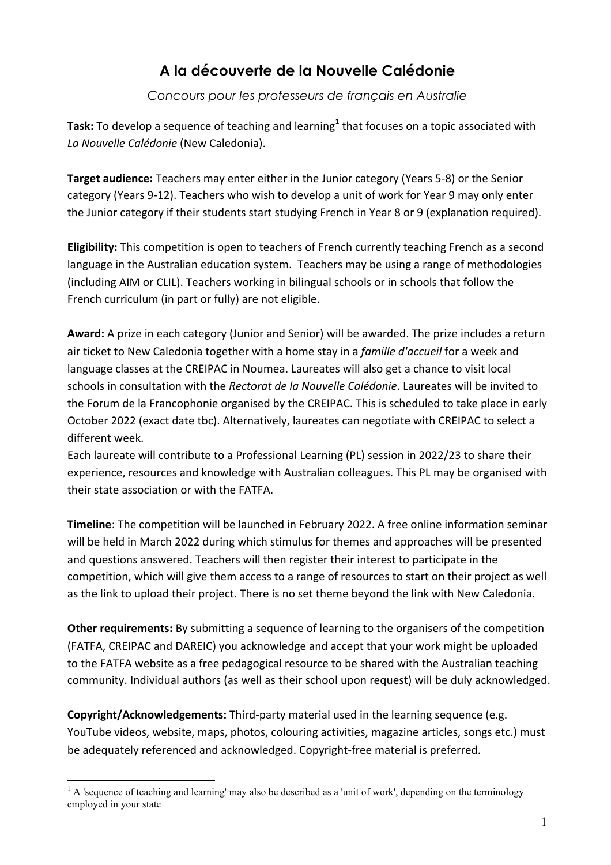# **A la découverte de la Nouvelle Calédonie**

## *Concours pour les professeurs de français en Australie*

**Task:** To develop a sequence of teaching and learning<sup>1</sup> that focuses on a topic associated with *La Nouvelle Calédonie* (New Caledonia).

**Target audience:** Teachers may enter either in the Junior category (Years 5-8) or the Senior category (Years 9-12). Teachers who wish to develop a unit of work for Year 9 may only enter the Junior category if their students start studying French in Year 8 or 9 (explanation required).

**Eligibility:** This competition is open to teachers of French currently teaching French as a second language in the Australian education system. Teachers may be using a range of methodologies (including AIM or CLIL). Teachers working in bilingual schools or in schools that follow the French curriculum (in part or fully) are not eligible.

**Award:** A prize in each category (Junior and Senior) will be awarded. The prize includes a return air ticket to New Caledonia together with a home stay in a *famille d'accueil* for a week and language classes at the CREIPAC in Noumea. Laureates will also get a chance to visit local schools in consultation with the *Rectorat de la Nouvelle Calédonie*. Laureates will be invited to the Forum de la Francophonie organised by the CREIPAC. This is scheduled to take place in early October 2022 (exact date tbc). Alternatively, laureates can negotiate with CREIPAC to select a different week.

Each laureate will contribute to a Professional Learning (PL) session in 2022/23 to share their experience, resources and knowledge with Australian colleagues. This PL may be organised with their state association or with the FATFA.

**Timeline**: The competition will be launched in February 2022. A free online information seminar will be held in March 2022 during which stimulus for themes and approaches will be presented and questions answered. Teachers will then register their interest to participate in the competition, which will give them access to a range of resources to start on their project as well as the link to upload their project. There is no set theme beyond the link with New Caledonia.

**Other requirements:** By submitting a sequence of learning to the organisers of the competition (FATFA, CREIPAC and DAREIC) you acknowledge and accept that your work might be uploaded to the FATFA website as a free pedagogical resource to be shared with the Australian teaching community. Individual authors (as well as their school upon request) will be duly acknowledged.

**Copyright/Acknowledgements:** Third-party material used in the learning sequence (e.g. YouTube videos, website, maps, photos, colouring activities, magazine articles, songs etc.) must be adequately referenced and acknowledged. Copyright-free material is preferred.

 $<sup>1</sup>$  A 'sequence of teaching and learning' may also be described as a 'unit of work', depending on the terminology</sup> employed in your state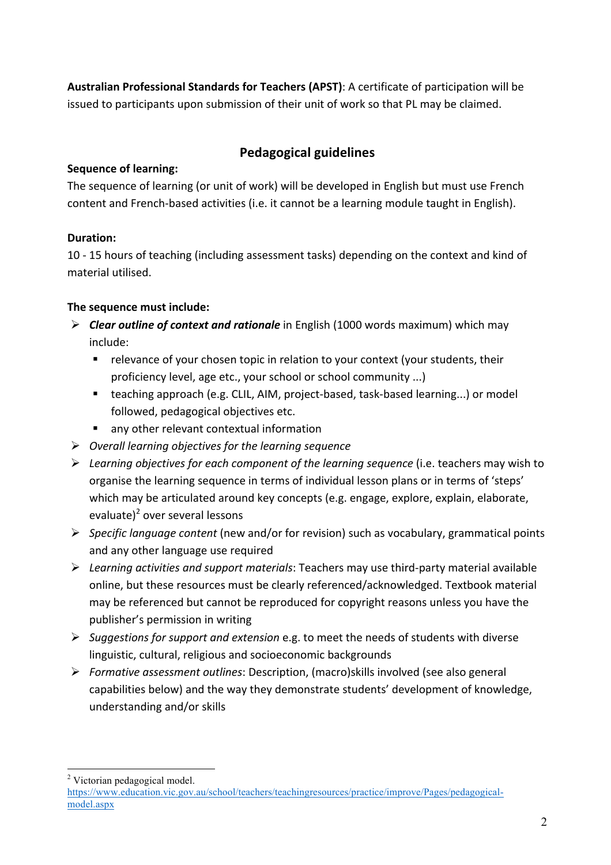**Australian Professional Standards for Teachers (APST)**: A certificate of participation will be issued to participants upon submission of their unit of work so that PL may be claimed.

# **Pedagogical guidelines**

## **Sequence of learning:**

The sequence of learning (or unit of work) will be developed in English but must use French content and French-based activities (i.e. it cannot be a learning module taught in English).

# **Duration:**

10 - 15 hours of teaching (including assessment tasks) depending on the context and kind of material utilised.

# **The sequence must include:**

- **Elear outline of context and rationale** in English (1000 words maximum) which may include:
	- relevance of your chosen topic in relation to your context (your students, their proficiency level, age etc., your school or school community ...)
	- teaching approach (e.g. CLIL, AIM, project-based, task-based learning...) or model followed, pedagogical objectives etc.
	- any other relevant contextual information
- Ø *Overall learning objectives for the learning sequence*
- $\triangleright$  Learning objectives for each component of the learning sequence (i.e. teachers may wish to organise the learning sequence in terms of individual lesson plans or in terms of 'steps' which may be articulated around key concepts (e.g. engage, explore, explain, elaborate, evaluate) <sup>2</sup> over several lessons
- Ø *Specific language content* (new and/or for revision) such as vocabulary, grammatical points and any other language use required
- Ø *Learning activities and support materials*: Teachers may use third-party material available online, but these resources must be clearly referenced/acknowledged. Textbook material may be referenced but cannot be reproduced for copyright reasons unless you have the publisher's permission in writing
- Ø *Suggestions for support and extension* e.g. to meet the needs of students with diverse linguistic, cultural, religious and socioeconomic backgrounds
- Ø *Formative assessment outlines*: Description, (macro)skills involved (see also general capabilities below) and the way they demonstrate students' development of knowledge, understanding and/or skills

 <sup>2</sup> Victorian pedagogical model.

https://www.education.vic.gov.au/school/teachers/teachingresources/practice/improve/Pages/pedagogicalmodel.aspx